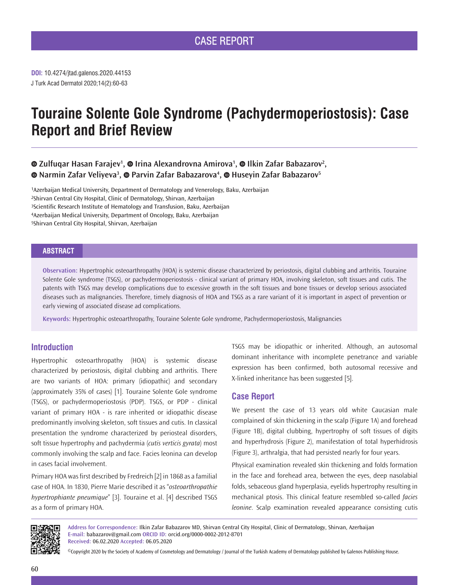# **Touraine Solente Gole Syndrome (Pachydermoperiostosis): Case Report and Brief Review**

# *ZulfuqarHasan Farajev<sup>1</sup>, © Irina Alexandrovna Amirova<sup>1</sup>, © Ilkin Zafar Babazarov<sup>2</sup>, NarminZafar Veliyeva<sup>3</sup>, © Parvin Zafar Babazarova<sup>4</sup>, © Huseyin Zafar Babazarov<sup>5</sup>*

Azerbaijan Medical University, Department of Dermatology and Venerology, Baku, Azerbaijan Shirvan Central City Hospital, Clinic of Dermatology, Shirvan, Azerbaijan Scientific Research Institute of Hematology and Transfusion, Baku, Azerbaijan Azerbaijan Medical University, Department of Oncology, Baku, Azerbaijan Shirvan Central City Hospital, Shirvan, Azerbaijan

## **ABSTRACT**

**Observation:** Hypertrophic osteoarthropathy (HOA) is systemic disease characterized by periostosis, digital clubbing and arthritis. Touraine Solente Gole syndrome (TSGS), or pachydermoperiostosis - clinical variant of primary HOA, involving skeleton, soft tissues and cutis. The patents with TSGS may develop complications due to excessive growth in the soft tissues and bone tissues or develop serious associated diseases such as malignancies. Therefore, timely diagnosis of HOA and TSGS as a rare variant of it is important in aspect of prevention or early viewing of associated disease ad complications.

**Keywords:** Hypertrophic osteoarthropathy, Touraine Solente Gole syndrome, Pachydermoperiostosis, Malignancies

## **Introduction**

Hypertrophic osteoarthropathy (HOA) is systemic disease characterized by periostosis, digital clubbing and arthritis. There are two variants of HOA: primary (idiopathic) and secondary (approximately 35% of cases) [1]. Touraine Solente Gole syndrome (TSGS), or pachydermoperiostosis (PDP). TSGS, or PDP - clinical variant of primary HOA - is rare inherited or idiopathic disease predominantly involving skeleton, soft tissues and cutis. In classical presentation the syndrome characterized by periosteal disorders, soft tissue hypertrophy and pachydermia (*cutis verticis gyrata*) most commonly involving the scalp and face. Facies leonina can develop in cases facial involvement.

Primary HOA was first described by Fredreich [2] in 1868 as a familial case of HOA. In 1830, Pierre Marie described it as "*osteoarthropathie hypertrophiante pneumique*" [3]. Touraine et al. [4] described TSGS as a form of primary HOA.

TSGS may be idiopathic or inherited. Although, an autosomal dominant inheritance with incomplete penetrance and variable expression has been confirmed, both autosomal recessive and X-linked inheritance has been suggested [5].

### **Case Report**

We present the case of 13 years old white Caucasian male complained of skin thickening in the scalp (Figure 1A) and forehead (Figure 1B), digital clubbing, hypertrophy of soft tissues of digits and hyperhydrosis (Figure 2), manifestation of total hyperhidrosis (Figure 3), arthralgia, that had persisted nearly for four years.

Physical examination revealed skin thickening and folds formation in the face and forehead area, between the eyes, deep nasolabial folds, sebaceous gland hyperplasia, eyelids hypertrophy resulting in mechanical ptosis. This clinical feature resembled so-called *facies leonine*. Scalp examination revealed appearance consisting cutis



**Address for Correspondence:** Ilkin Zafar Babazarov MD, Shirvan Central City Hospital, Clinic of Dermatology, Shirvan, Azerbaijan **E-mail:** babazarov@gmail.com **ORCID ID:** orcid.org/0000-0002-2012-8701 **Received:** 06.02.2020 **Accepted:** 06.05.2020

©Copyright 2020 by the Society of Academy of Cosmetology and Dermatology / Journal of the Turkish Academy of Dermatology published by Galenos Publishing House.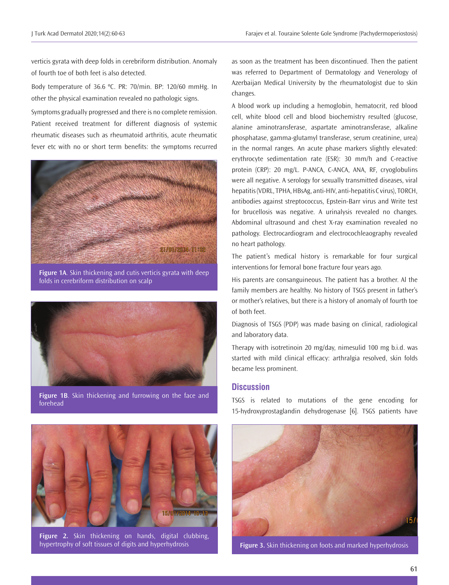verticis gyrata with deep folds in cerebriform distribution. Anomaly of fourth toe of both feet is also detected.

Body temperature of 36.6 ºC. PR: 70/min. BP: 120/60 mmHg. In other the physical examination revealed no pathologic signs.

Symptoms gradually progressed and there is no complete remission. Patient received treatment for different diagnosis of systemic rheumatic diseases such as rheumatoid arthritis, acute rheumatic fever etc with no or short term benefits: the symptoms recurred



**Figure 1A**. Skin thickening and cutis verticis gyrata with deep folds in cerebriform distribution on scalp



**Figure 1B**. Skin thickening and furrowing on the face and forehead



**Figure 2.** Skin thickening on hands, digital clubbing, hypertrophy of soft tissues of digits and hyperhydrosis **Figure 3.** Skin thickening on foots and marked hyperhydrosis

as soon as the treatment has been discontinued. Then the patient was referred to Department of Dermatology and Venerology of Azerbaijan Medical University by the rheumatologist due to skin changes.

A blood work up including a hemoglobin, hematocrit, red blood cell, white blood cell and blood biochemistry resulted (glucose, alanine aminotransferase, aspartate aminotransferase, alkaline phosphatase, gamma-glutamyl transferase, serum creatinine, urea) in the normal ranges. An acute phase markers slightly elevated: erythrocyte sedimentation rate (ESR): 30 mm/h and C-reactive protein (CRP): 20 mg/L. P-ANCA, C-ANCA, ANA, RF, cryoglobulins were all negative. A serology for sexually transmitted diseases, viral hepatitis (VDRL, TPHA, HBsAg, anti-HIV, anti-hepatitis C virus), TORCH, antibodies against streptococcus, Epstein-Barr virus and Write test for brucellosis was negative. A urinalysis revealed no changes. Abdominal ultrasound and chest X-ray examination revealed no pathology. Electrocardiogram and electrocochleaography revealed no heart pathology.

The patient's medical history is remarkable for four surgical interventions for femoral bone fracture four years ago.

His parents are consanguineous. The patient has a brother. Al the family members are healthy. No history of TSGS present in father's or mother's relatives, but there is a history of anomaly of fourth toe of both feet.

Diagnosis of TSGS (PDP) was made basing on clinical, radiological and laboratory data.

Therapy with isotretinoin 20 mg/day, nimesulid 100 mg b.i.d. was started with mild clinical efficacy: arthralgia resolved, skin folds became less prominent.

# **Discussion**

TSGS is related to mutations of the gene encoding for 15-hydroxyprostaglandin dehydrogenase [6]. TSGS patients have

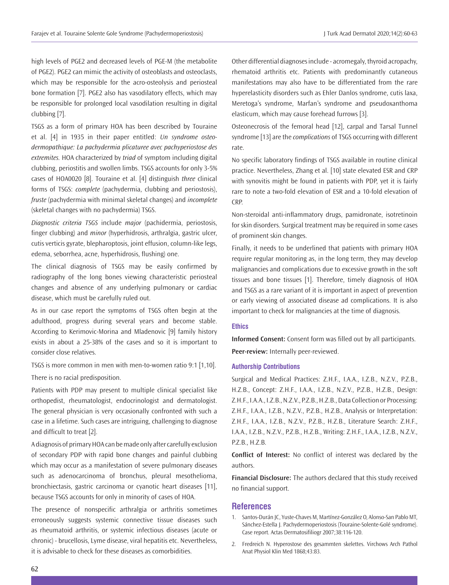high levels of PGE2 and decreased levels of PGE-M (the metabolite of PGE2). PGE2 can mimic the activity of osteoblasts and osteoclasts, which may be responsible for the acro-osteolysis and periosteal bone formation [7]. PGE2 also has vasodilatory effects, which may be responsible for prolonged local vasodilation resulting in digital clubbing [7].

TSGS as a form of primary HOA has been described by Touraine et al. [4] in 1935 in their paper entitled: *Un syndrome osteodermopathique: La pachydermia plicaturee avec pachyperiostose des extremites.* HOA characterized by *triad* of symptom including digital clubbing, periostitis and swollen limbs. TSGS accounts for only 3-5% cases of HOA0020 [8]. Touraine et al. [4] distinguish *three* clinical forms of TSGS: *complete* (pachydermia, clubbing and periostosis), *fruste* (pachydermia with minimal skeletal changes) and *incomplete* (skeletal changes with no pachydermia) TSGS.

*Diagnostic criteria TSGS* include *major* (pachidermia, periostosis, finger clubbing) and *minor* (hyperhidrosis, arthralgia, gastric ulcer, cutis verticis gyrate, blepharoptosis, joint effusion, column-like legs, edema, seborrhea, acne, hyperhidrosis, flushing) one.

The clinical diagnosis of TSGS may be easily confirmed by radiography of the long bones viewing characteristic periosteal changes and absence of any underlying pulmonary or cardiac disease, which must be carefully ruled out.

As in our case report the symptoms of TSGS often begin at the adulthood, progress during several years and become stable. According to Kerimovic-Morina and Mladenovic [9] family history exists in about a 25-38% of the cases and so it is important to consider close relatives.

TSGS is more common in men with men-to-women ratio 9:1 [1,10].

There is no racial predisposition.

Patients with PDP may present to multiple clinical specialist like orthopedist, rheumatologist, endocrinologist and dermatologist. The general physician is very occasionally confronted with such a case in a lifetime. Such cases are intriguing, challenging to diagnose and difficult to treat [2].

A diagnosis of primary HOA can be made only after carefully exclusion of secondary PDP with rapid bone changes and painful clubbing which may occur as a manifestation of severe pulmonary diseases such as adenocarcinoma of bronchus, pleural mesothelioma, bronchiectasis, gastric carcinoma or cyanotic heart diseases [11], because TSGS accounts for only in minority of cases of HOA.

The presence of nonspecific arthralgia or arthritis sometimes erroneously suggests systemic connective tissue diseases such as rheumatoid arthritis, or systemic infectious diseases (acute or chronic) - brucellosis, Lyme disease, viral hepatitis etc. Nevertheless, it is advisable to check for these diseases as comorbidities.

Other differential diagnoses include - acromegaly, thyroid acropachy, rhematoid arthritis etc. Patients with predominantly cutaneous manifestations may also have to be differentiated from the rare hyperelasticity disorders such as Ehler Danlos syndrome, cutis laxa, Meretoga's syndrome, Marfan's syndrome and pseudoxanthoma elasticum, which may cause forehead furrows [3].

Osteonecrosis of the femoral head [12], carpal and Tarsal Tunnel syndrome [13] are the *complications* of TSGS occurring with different rate.

No specific laboratory findings of TSGS available in routine clinical practice. Nevertheless, Zhang et al. [10] state elevated ESR and CRP with synovitis might be found in patients with PDP, yet it is fairly rare to note a two-fold elevation of ESR and a 10-fold elevation of CRP.

Non-steroidal anti-inflammatory drugs, pamidronate, isotretinoin for skin disorders. Surgical treatment may be required in some cases of prominent skin changes.

Finally, it needs to be underlined that patients with primary HOA require regular monitoring as, in the long term, they may develop malignancies and complications due to excessive growth in the soft tissues and bone tissues [1]. Therefore, timely diagnosis of HOA and TSGS as a rare variant of it is important in aspect of prevention or early viewing of associated disease ad complications. It is also important to check for malignancies at the time of diagnosis.

#### **Ethics**

**Informed Consent:** Consent form was filled out by all participants. **Peer-review:** Internally peer-reviewed.

#### **Authorship Contributions**

Surgical and Medical Practices: Z.H.F., I.A.A., I.Z.B., N.Z.V., P.Z.B., H.Z.B., Concept: Z.H.F., I.A.A., I.Z.B., N.Z.V., P.Z.B., H.Z.B., Design: Z.H.F., I.A.A., I.Z.B., N.Z.V., P.Z.B., H.Z.B., Data Collection or Processing: Z.H.F., I.A.A., I.Z.B., N.Z.V., P.Z.B., H.Z.B., Analysis or Interpretation: Z.H.F., I.A.A., I.Z.B., N.Z.V., P.Z.B., H.Z.B., Literature Search: Z.H.F., I.A.A., I.Z.B., N.Z.V., P.Z.B., H.Z.B., Writing: Z.H.F., I.A.A., I.Z.B., N.Z.V., P.Z.B., H.Z.B.

**Conflict of Interest:** No conflict of interest was declared by the authors.

**Financial Disclosure:** The authors declared that this study received no financial support.

#### **References**

- 1. Santos-Durán JC, Yuste-Chaves M, Martínez-González O, Alonso-San Pablo MT, Sánchez-Estella J. Pachydermoperiostosis (Touraine-Solente-Golé syndrome). Case report. Actas Dermatosifiliogr 2007;38:116-120.
- 2. Fredreich N. Hyperostose des gesammten skelettes. Virchows Arch Pathol Anat Physiol Klin Med 1868;43:83.